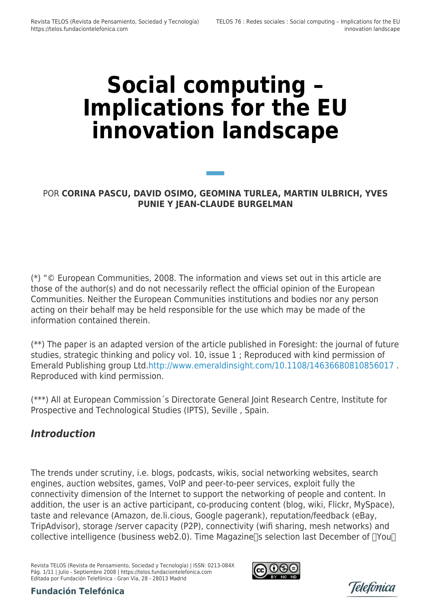# **Social computing – Implications for the EU innovation landscape**

POR **CORINA PASCU, DAVID OSIMO, GEOMINA TURLEA, MARTIN ULBRICH, YVES PUNIE Y JEAN-CLAUDE BURGELMAN**

(\*) "© European Communities, 2008. The information and views set out in this article are those of the author(s) and do not necessarily reflect the official opinion of the European Communities. Neither the European Communities institutions and bodies nor any person acting on their behalf may be held responsible for the use which may be made of the information contained therein.

(\*\*) The paper is an adapted version of the article published in Foresight: the journal of future studies, strategic thinking and policy vol. 10, issue 1 ; Reproduced with kind permission of Emerald Publishing group Ltd[.http://www.emeraldinsight.com/10.1108/14636680810856017](http://www.emeraldinsight.com/10.1108/14636680810856017) . Reproduced with kind permission.

(\*\*\*) All at European Commission´s Directorate General Joint Research Centre, Institute for Prospective and Technological Studies (IPTS), Seville , Spain.

## *Introduction*

The trends under scrutiny, i.e. blogs, podcasts, wikis, social networking websites, search engines, auction websites, games, VoIP and peer-to-peer services, exploit fully the connectivity dimension of the Internet to support the networking of people and content. In addition, the user is an active participant, co-producing content (blog, wiki, Flickr, MySpace), taste and relevance (Amazon, de.li.cious, Google pagerank), reputation/feedback (eBay, TripAdvisor), storage /server capacity (P2P), connectivity (wifi sharing, mesh networks) and collective intelligence (business web2.0). Time Magazine  $\Box$ s selection last December of  $\Box$ You $\Box$ 

Revista TELOS (Revista de Pensamiento, Sociedad y Tecnología) | ISSN: 0213-084X Pág. 1/11 | Julio - Septiembre 2008 | https://telos.fundaciontelefonica.com Editada por Fundación Telefónica - Gran Vía, 28 - 28013 Madrid



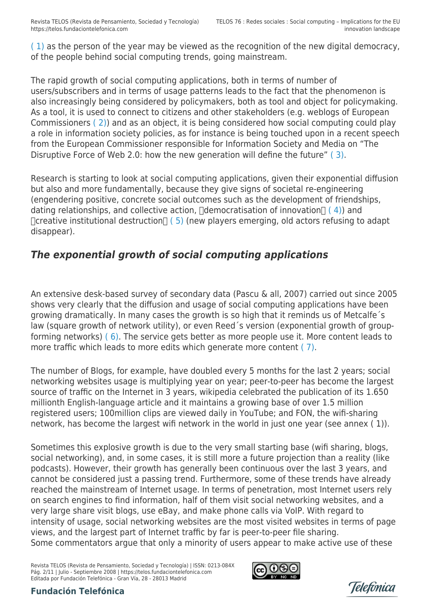[\( 1\)](#page--1-0) as the person of the year may be viewed as the recognition of the new digital democracy, of the people behind social computing trends, going mainstream.

The rapid growth of social computing applications, both in terms of number of users/subscribers and in terms of usage patterns leads to the fact that the phenomenon is also increasingly being considered by policymakers, both as tool and object for policymaking. As a tool, it is used to connect to citizens and other stakeholders (e.g. weblogs of European Commissioners [\( 2\)](#page--1-0)) and as an object, it is being considered how social computing could play a role in information society policies, as for instance is being touched upon in a recent speech from the European Commissioner responsible for Information Society and Media on "The Disruptive Force of Web 2.0: how the new generation will define the future" [\( 3\)](#page--1-0).

Research is starting to look at social computing applications, given their exponential diffusion but also and more fundamentally, because they give signs of societal re-engineering (engendering positive, concrete social outcomes such as the development of friendships, dating relationships, and collective action,  $\Box$ democratisation of innovation $\Box$  (4)) and  $\Box$ creative institutional destruction $\Box$  (5) (new players emerging, old actors refusing to adapt disappear).

# *The exponential growth of social computing applications*

An extensive desk-based survey of secondary data (Pascu & all, 2007) carried out since 2005 shows very clearly that the diffusion and usage of social computing applications have been growing dramatically. In many cases the growth is so high that it reminds us of Metcalfe´s law (square growth of network utility), or even Reed´s version (exponential growth of groupforming networks) [\( 6\).](#page--1-0) The service gets better as more people use it. More content leads to more traffic which leads to more edits which generate more content [\( 7\)](#page--1-0).

The number of Blogs, for example, have doubled every 5 months for the last 2 years; social networking websites usage is multiplying year on year; peer-to-peer has become the largest source of traffic on the Internet in 3 years, wikipedia celebrated the publication of its 1.650 millionth English-language article and it maintains a growing base of over 1.5 million registered users; 100million clips are viewed daily in YouTube; and FON, the wifi-sharing network, has become the largest wifi network in the world in just one year (see annex [\( 1\)\)](#page--1-0).

Sometimes this explosive growth is due to the very small starting base (wifi sharing, blogs, social networking), and, in some cases, it is still more a future projection than a reality (like podcasts). However, their growth has generally been continuous over the last 3 years, and cannot be considered just a passing trend. Furthermore, some of these trends have already reached the mainstream of Internet usage. In terms of penetration, most Internet users rely on search engines to find information, half of them visit social networking websites, and a very large share visit blogs, use eBay, and make phone calls via VoIP. With regard to intensity of usage, social networking websites are the most visited websites in terms of page views, and the largest part of Internet traffic by far is peer-to-peer file sharing. Some commentators argue that only a minority of users appear to make active use of these

Revista TELOS (Revista de Pensamiento, Sociedad y Tecnología) | ISSN: 0213-084X Pág. 2/11 | Julio - Septiembre 2008 | https://telos.fundaciontelefonica.com Editada por Fundación Telefónica - Gran Vía, 28 - 28013 Madrid





Telefònica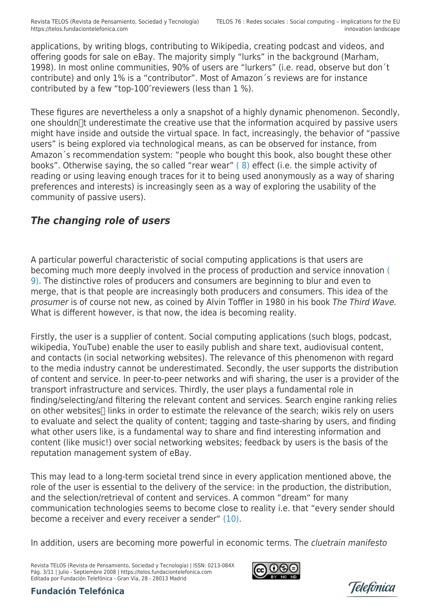applications, by writing blogs, contributing to Wikipedia, creating podcast and videos, and offering goods for sale on eBay. The majority simply "lurks" in the background (Marham, 1998). In most online communities, 90% of users are "lurkers" (i.e. read, observe but don´t contribute) and only 1% is a "contributor". Most of Amazon´s reviews are for instance contributed by a few "top-100″reviewers (less than 1 %).

These figures are nevertheless a only a snapshot of a highly dynamic phenomenon. Secondly, one shouldn<sup>t</sup> underestimate the creative use that the information acquired by passive users might have inside and outside the virtual space. In fact, increasingly, the behavior of "passive users" is being explored via technological means, as can be observed for instance, from Amazon´s recommendation system: "people who bought this book, also bought these other books". Otherwise saying, the so called "rear wear" [\( 8\)](#page--1-0) effect (i.e. the simple activity of reading or using leaving enough traces for it to being used anonymously as a way of sharing preferences and interests) is increasingly seen as a way of exploring the usability of the community of passive users).

## *The changing role of users*

A particular powerful characteristic of social computing applications is that users are becoming much more deeply involved in the process of production and service innovation [\(](#page--1-0) [9\).](#page--1-0) The distinctive roles of producers and consumers are beginning to blur and even to merge, that is that people are increasingly both producers and consumers. This idea of the prosumer is of course not new, as coined by Alvin Toffler in 1980 in his book The Third Wave. What is different however, is that now, the idea is becoming reality.

Firstly, the user is a supplier of content. Social computing applications (such blogs, podcast, wikipedia, YouTube) enable the user to easily publish and share text, audiovisual content, and contacts (in social networking websites). The relevance of this phenomenon with regard to the media industry cannot be underestimated. Secondly, the user supports the distribution of content and service. In peer-to-peer networks and wifi sharing, the user is a provider of the transport infrastructure and services. Thirdly, the user plays a fundamental role in finding/selecting/and filtering the relevant content and services. Search engine ranking relies on other websites $\Box$  links in order to estimate the relevance of the search; wikis rely on users to evaluate and select the quality of content; tagging and taste-sharing by users, and finding what other users like, is a fundamental way to share and find interesting information and content (like music!) over social networking websites; feedback by users is the basis of the reputation management system of eBay.

This may lead to a long-term societal trend since in every application mentioned above, the role of the user is essential to the delivery of the service: in the production, the distribution, and the selection/retrieval of content and services. A common "dream" for many communication technologies seems to become close to reality i.e. that "every sender should become a receiver and every receiver a sender" [\(10\)](#page--1-0).

In addition, users are becoming more powerful in economic terms. The cluetrain manifesto

Revista TELOS (Revista de Pensamiento, Sociedad y Tecnología) | ISSN: 0213-084X Pág. 3/11 | Julio - Septiembre 2008 | https://telos.fundaciontelefonica.com Editada por Fundación Telefónica - Gran Vía, 28 - 28013 Madrid



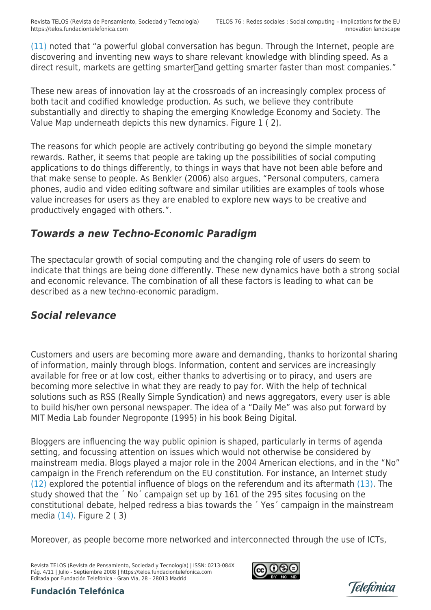[\(11\)](#page--1-0) noted that "a powerful global conversation has begun. Through the Internet, people are discovering and inventing new ways to share relevant knowledge with blinding speed. As a direct result, markets are getting smarter $\eta$ and getting smarter faster than most companies."

These new areas of innovation lay at the crossroads of an increasingly complex process of both tacit and codified knowledge production. As such, we believe they contribute substantially and directly to shaping the emerging Knowledge Economy and Society. The Value Map underneath depicts this new dynamics. Figure 1 [\( 2\)](#page--1-0).

The reasons for which people are actively contributing go beyond the simple monetary rewards. Rather, it seems that people are taking up the possibilities of social computing applications to do things differently, to things in ways that have not been able before and that make sense to people. As Benkler (2006) also argues, "Personal computers, camera phones, audio and video editing software and similar utilities are examples of tools whose value increases for users as they are enabled to explore new ways to be creative and productively engaged with others.".

## *Towards a new Techno-Economic Paradigm*

The spectacular growth of social computing and the changing role of users do seem to indicate that things are being done differently. These new dynamics have both a strong social and economic relevance. The combination of all these factors is leading to what can be described as a new techno-economic paradigm.

## *Social relevance*

Customers and users are becoming more aware and demanding, thanks to horizontal sharing of information, mainly through blogs. Information, content and services are increasingly available for free or at low cost, either thanks to advertising or to piracy, and users are becoming more selective in what they are ready to pay for. With the help of technical solutions such as RSS (Really Simple Syndication) and news aggregators, every user is able to build his/her own personal newspaper. The idea of a "Daily Me" was also put forward by MIT Media Lab founder Negroponte (1995) in his book Being Digital.

Bloggers are influencing the way public opinion is shaped, particularly in terms of agenda setting, and focussing attention on issues which would not otherwise be considered by mainstream media. Blogs played a major role in the 2004 American elections, and in the "No" campaign in the French referendum on the EU constitution. For instance, an Internet study [\(12\)](#page--1-0) explored the potential influence of blogs on the referendum and its aftermath [\(13\)](#page--1-0). The study showed that the ´ No´ campaign set up by 161 of the 295 sites focusing on the constitutional debate, helped redress a bias towards the ´ Yes´ campaign in the mainstream media [\(14\).](#page--1-0) Figure 2 [\( 3\)](#page--1-0)

Moreover, as people become more networked and interconnected through the use of ICTs,

Revista TELOS (Revista de Pensamiento, Sociedad y Tecnología) | ISSN: 0213-084X Pág. 4/11 | Julio - Septiembre 2008 | https://telos.fundaciontelefonica.com Editada por Fundación Telefónica - Gran Vía, 28 - 28013 Madrid



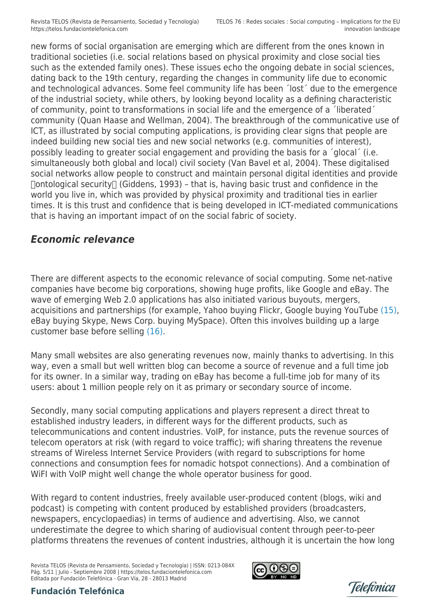new forms of social organisation are emerging which are different from the ones known in traditional societies (i.e. social relations based on physical proximity and close social ties such as the extended family ones). These issues echo the ongoing debate in social sciences, dating back to the 19th century, regarding the changes in community life due to economic and technological advances. Some feel community life has been ´lost´ due to the emergence of the industrial society, while others, by looking beyond locality as a defining characteristic of community, point to transformations in social life and the emergence of a ´liberated´ community (Quan Haase and Wellman, 2004). The breakthrough of the communicative use of ICT, as illustrated by social computing applications, is providing clear signs that people are indeed building new social ties and new social networks (e.g. communities of interest), possibly leading to greater social engagement and providing the basis for a ´glocal´ (i.e. simultaneously both global and local) civil society (Van Bavel et al, 2004). These digitalised social networks allow people to construct and maintain personal digital identities and provide  $\Box$ ontological security $\Box$  (Giddens, 1993) – that is, having basic trust and confidence in the world you live in, which was provided by physical proximity and traditional ties in earlier times. It is this trust and confidence that is being developed in ICT-mediated communications that is having an important impact of on the social fabric of society.

## *Economic relevance*

There are different aspects to the economic relevance of social computing. Some net-native companies have become big corporations, showing huge profits, like Google and eBay. The wave of emerging Web 2.0 applications has also initiated various buyouts, mergers, acquisitions and partnerships (for example, Yahoo buying Flickr, Google buying YouTube [\(15\)](#page--1-0), eBay buying Skype, News Corp. buying MySpace). Often this involves building up a large customer base before selling [\(16\).](#page--1-0)

Many small websites are also generating revenues now, mainly thanks to advertising. In this way, even a small but well written blog can become a source of revenue and a full time job for its owner. In a similar way, trading on eBay has become a full-time job for many of its users: about 1 million people rely on it as primary or secondary source of income.

Secondly, many social computing applications and players represent a direct threat to established industry leaders, in different ways for the different products, such as telecommunications and content industries. VoIP, for instance, puts the revenue sources of telecom operators at risk (with regard to voice traffic); wifi sharing threatens the revenue streams of Wireless Internet Service Providers (with regard to subscriptions for home connections and consumption fees for nomadic hotspot connections). And a combination of WiFI with VoIP might well change the whole operator business for good.

With regard to content industries, freely available user-produced content (blogs, wiki and podcast) is competing with content produced by established providers (broadcasters, newspapers, encyclopaedias) in terms of audience and advertising. Also, we cannot underestimate the degree to which sharing of audiovisual content through peer-to-peer platforms threatens the revenues of content industries, although it is uncertain the how long

Revista TELOS (Revista de Pensamiento, Sociedad y Tecnología) | ISSN: 0213-084X Pág. 5/11 | Julio - Septiembre 2008 | https://telos.fundaciontelefonica.com Editada por Fundación Telefónica - Gran Vía, 28 - 28013 Madrid





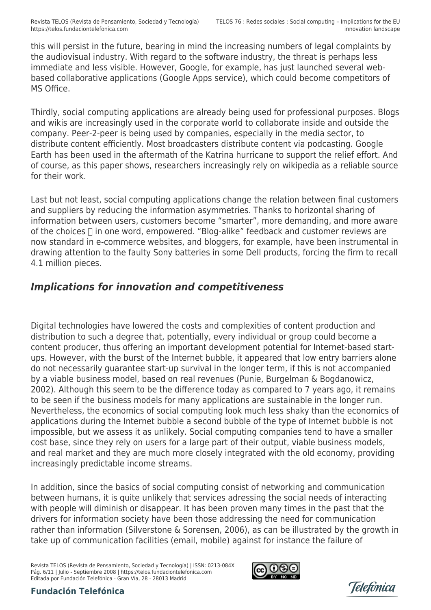this will persist in the future, bearing in mind the increasing numbers of legal complaints by the audiovisual industry. With regard to the software industry, the threat is perhaps less immediate and less visible. However, Google, for example, has just launched several webbased collaborative applications (Google Apps service), which could become competitors of MS Office.

Thirdly, social computing applications are already being used for professional purposes. Blogs and wikis are increasingly used in the corporate world to collaborate inside and outside the company. Peer-2-peer is being used by companies, especially in the media sector, to distribute content efficiently. Most broadcasters distribute content via podcasting. Google Earth has been used in the aftermath of the Katrina hurricane to support the relief effort. And of course, as this paper shows, researchers increasingly rely on wikipedia as a reliable source for their work.

Last but not least, social computing applications change the relation between final customers and suppliers by reducing the information asymmetries. Thanks to horizontal sharing of information between users, customers become "smarter", more demanding, and more aware of the choices  $\Box$  in one word, empowered. "Blog-alike" feedback and customer reviews are now standard in e-commerce websites, and bloggers, for example, have been instrumental in drawing attention to the faulty Sony batteries in some Dell products, forcing the firm to recall 4.1 million pieces.

# *Implications for innovation and competitiveness*

Digital technologies have lowered the costs and complexities of content production and distribution to such a degree that, potentially, every individual or group could become a content producer, thus offering an important development potential for Internet-based startups. However, with the burst of the Internet bubble, it appeared that low entry barriers alone do not necessarily guarantee start-up survival in the longer term, if this is not accompanied by a viable business model, based on real revenues (Punie, Burgelman & Bogdanowicz, 2002). Although this seem to be the difference today as compared to 7 years ago, it remains to be seen if the business models for many applications are sustainable in the longer run. Nevertheless, the economics of social computing look much less shaky than the economics of applications during the Internet bubble a second bubble of the type of Internet bubble is not impossible, but we assess it as unlikely. Social computing companies tend to have a smaller cost base, since they rely on users for a large part of their output, viable business models, and real market and they are much more closely integrated with the old economy, providing increasingly predictable income streams.

In addition, since the basics of social computing consist of networking and communication between humans, it is quite unlikely that services adressing the social needs of interacting with people will diminish or disappear. It has been proven many times in the past that the drivers for information society have been those addressing the need for communication rather than information (Silverstone & Sorensen, 2006), as can be illustrated by the growth in take up of communication facilities (email, mobile) against for instance the failure of

Revista TELOS (Revista de Pensamiento, Sociedad y Tecnología) | ISSN: 0213-084X Pág. 6/11 | Julio - Septiembre 2008 | https://telos.fundaciontelefonica.com Editada por Fundación Telefónica - Gran Vía, 28 - 28013 Madrid



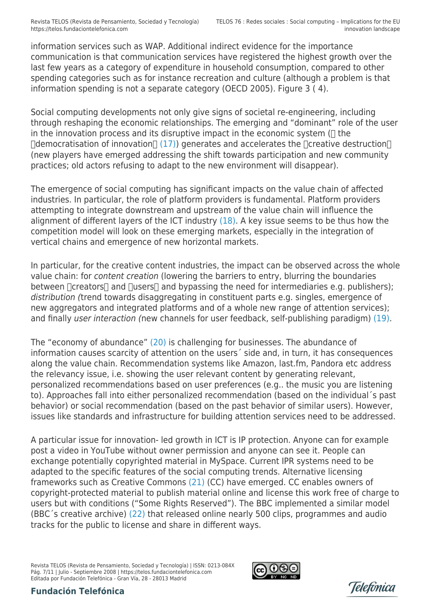information services such as WAP. Additional indirect evidence for the importance communication is that communication services have registered the highest growth over the last few years as a category of expenditure in household consumption, compared to other spending categories such as for instance recreation and culture (although a problem is that information spending is not a separate category (OECD 2005). Figure 3 [\( 4\).](#page--1-0)

Social computing developments not only give signs of societal re-engineering, including through reshaping the economic relationships. The emerging and "dominant" role of the user in the innovation process and its disruptive impact in the economic system  $( \Pi$  the  $\Box$ democratisation of innovation $\Box$  [\(17\)](#page--1-0)) generates and accelerates the  $\Box$ creative destruction $\Box$ (new players have emerged addressing the shift towards participation and new community practices; old actors refusing to adapt to the new environment will disappear).

The emergence of social computing has significant impacts on the value chain of affected industries. In particular, the role of platform providers is fundamental. Platform providers attempting to integrate downstream and upstream of the value chain will influence the alignment of different layers of the ICT industry [\(18\).](#page--1-0) A key issue seems to be thus how the competition model will look on these emerging markets, especially in the integration of vertical chains and emergence of new horizontal markets.

In particular, for the creative content industries, the impact can be observed across the whole value chain: for content creation (lowering the barriers to entry, blurring the boundaries between  $\Box$ creators $\Box$  and  $\Box$ users $\Box$  and bypassing the need for intermediaries e.g. publishers); distribution (trend towards disaggregating in constituent parts e.g. singles, emergence of new aggregators and integrated platforms and of a whole new range of attention services); and finally *user interaction* (new channels for user feedback, self-publishing paradigm) [\(19\)](#page--1-0).

The "economy of abundance" [\(20\)](#page--1-0) is challenging for businesses. The abundance of information causes scarcity of attention on the users´ side and, in turn, it has consequences along the value chain. Recommendation systems like Amazon, last.fm, Pandora etc address the relevancy issue, i.e. showing the user relevant content by generating relevant, personalized recommendations based on user preferences (e.g.. the music you are listening to). Approaches fall into either personalized recommendation (based on the individual´s past behavior) or social recommendation (based on the past behavior of similar users). However, issues like standards and infrastructure for building attention services need to be addressed.

A particular issue for innovation- led growth in ICT is IP protection. Anyone can for example post a video in YouTube without owner permission and anyone can see it. People can exchange potentially copyrighted material in MySpace. Current IPR systems need to be adapted to the specific features of the social computing trends. Alternative licensing frameworks such as Creative Commons [\(21\)](#page--1-0) (CC) have emerged. CC enables owners of copyright-protected material to publish material online and license this work free of charge to users but with conditions ("Some Rights Reserved"). The BBC implemented a similar model (BBC´s creative archive) [\(22\)](#page--1-0) that released online nearly 500 clips, programmes and audio tracks for the public to license and share in different ways.

Revista TELOS (Revista de Pensamiento, Sociedad y Tecnología) | ISSN: 0213-084X Pág. 7/11 | Julio - Septiembre 2008 | https://telos.fundaciontelefonica.com Editada por Fundación Telefónica - Gran Vía, 28 - 28013 Madrid



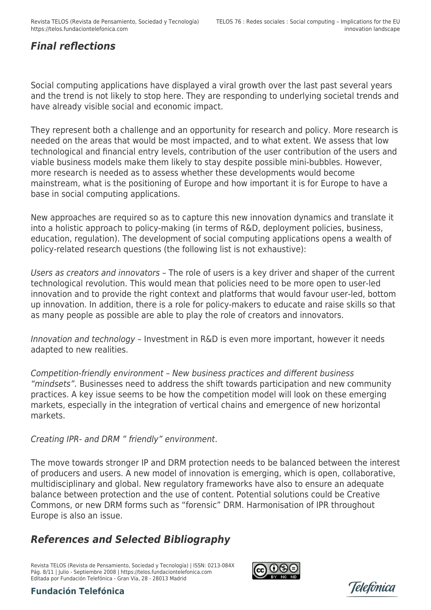# *Final reflections*

Social computing applications have displayed a viral growth over the last past several years and the trend is not likely to stop here. They are responding to underlying societal trends and have already visible social and economic impact.

They represent both a challenge and an opportunity for research and policy. More research is needed on the areas that would be most impacted, and to what extent. We assess that low technological and financial entry levels, contribution of the user contribution of the users and viable business models make them likely to stay despite possible mini-bubbles. However, more research is needed as to assess whether these developments would become mainstream, what is the positioning of Europe and how important it is for Europe to have a base in social computing applications.

New approaches are required so as to capture this new innovation dynamics and translate it into a holistic approach to policy-making (in terms of R&D, deployment policies, business, education, regulation). The development of social computing applications opens a wealth of policy-related research questions (the following list is not exhaustive):

Users as creators and innovators – The role of users is a key driver and shaper of the current technological revolution. This would mean that policies need to be more open to user-led innovation and to provide the right context and platforms that would favour user-led, bottom up innovation. In addition, there is a role for policy-makers to educate and raise skills so that as many people as possible are able to play the role of creators and innovators.

Innovation and technology – Investment in R&D is even more important, however it needs adapted to new realities.

Competition-friendly environment – New business practices and different business "mindsets". Businesses need to address the shift towards participation and new community practices. A key issue seems to be how the competition model will look on these emerging markets, especially in the integration of vertical chains and emergence of new horizontal markets.

Creating IPR- and DRM " friendly" environment.

The move towards stronger IP and DRM protection needs to be balanced between the interest of producers and users. A new model of innovation is emerging, which is open, collaborative, multidisciplinary and global. New regulatory frameworks have also to ensure an adequate balance between protection and the use of content. Potential solutions could be Creative Commons, or new DRM forms such as "forensic" DRM. Harmonisation of IPR throughout Europe is also an issue.

## *References and Selected Bibliography*

Revista TELOS (Revista de Pensamiento, Sociedad y Tecnología) | ISSN: 0213-084X Pág. 8/11 | Julio - Septiembre 2008 | https://telos.fundaciontelefonica.com Editada por Fundación Telefónica - Gran Vía, 28 - 28013 Madrid



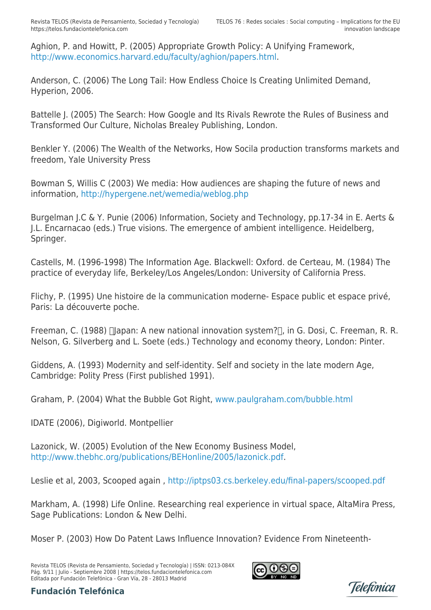Aghion, P. and Howitt, P. (2005) Appropriate Growth Policy: A Unifying Framework, <http://www.economics.harvard.edu/faculty/aghion/papers.html>.

Anderson, C. (2006) The Long Tail: How Endless Choice Is Creating Unlimited Demand, Hyperion, 2006.

Battelle J. (2005) The Search: How Google and Its Rivals Rewrote the Rules of Business and Transformed Our Culture, Nicholas Brealey Publishing, London.

Benkler Y. (2006) The Wealth of the Networks, How Socila production transforms markets and freedom, Yale University Press

Bowman S, Willis C (2003) We media: How audiences are shaping the future of news and information, <http://hypergene.net/wemedia/weblog.php>

Burgelman J.C & Y. Punie (2006) Information, Society and Technology, pp.17-34 in E. Aerts & J.L. Encarnacao (eds.) True visions. The emergence of ambient intelligence. Heidelberg, Springer.

Castells, M. (1996-1998) The Information Age. Blackwell: Oxford. de Certeau, M. (1984) The practice of everyday life, Berkeley/Los Angeles/London: University of California Press.

Flichy, P. (1995) Une histoire de la communication moderne- Espace public et espace privé, Paris: La découverte poche.

Freeman, C. (1988)  $\Box$  apan: A new national innovation system? $\Box$ , in G. Dosi, C. Freeman, R. R. Nelson, G. Silverberg and L. Soete (eds.) Technology and economy theory, London: Pinter.

Giddens, A. (1993) Modernity and self-identity. Self and society in the late modern Age, Cambridge: Polity Press (First published 1991).

Graham, P. (2004) What the Bubble Got Right, [www.paulgraham.com/bubble.html](http://www.paulgraham.com/bubble.html)

IDATE (2006), Digiworld. Montpellier

Lazonick, W. (2005) Evolution of the New Economy Business Model, [http://www.thebhc.org/publications/BEHonline/2005/lazonick.pdf.](http://www.thebhc.org/publications/behonline/2005/lazonick.pdf)

Leslie et al, 2003, Scooped again , <http://iptps03.cs.berkeley.edu/final-papers/scooped.pdf>

Markham, A. (1998) Life Online. Researching real experience in virtual space, AltaMira Press, Sage Publications: London & New Delhi.

Moser P. (2003) How Do Patent Laws Influence Innovation? Evidence From Nineteenth-

Revista TELOS (Revista de Pensamiento, Sociedad y Tecnología) | ISSN: 0213-084X Pág. 9/11 | Julio - Septiembre 2008 | https://telos.fundaciontelefonica.com Editada por Fundación Telefónica - Gran Vía, 28 - 28013 Madrid



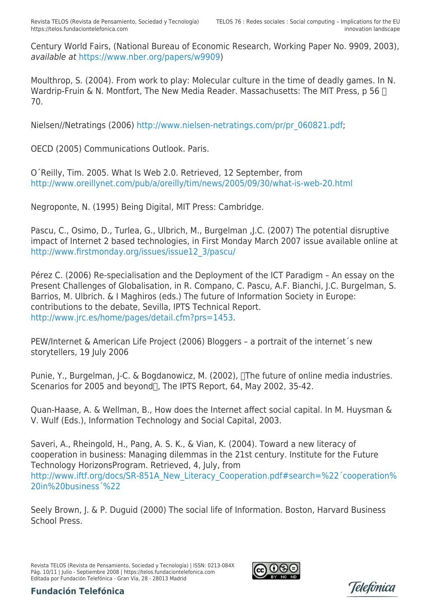Century World Fairs, (National Bureau of Economic Research, Working Paper No. 9909, 2003), available at [https://www.nber.org/papers/w9909](http://https@www.nber.org/papers/w9909))

Moulthrop, S. (2004). From work to play: Molecular culture in the time of deadly games. In N. Wardrip-Fruin & N. Montfort, The New Media Reader. Massachusetts: The MIT Press, p 56  $\Box$ 70.

Nielsen//Netratings (2006) http://www.nielsen-netratings.com/pr/pr\_060821.pdf:

OECD (2005) Communications Outlook. Paris.

O´Reilly, Tim. 2005. What Is Web 2.0. Retrieved, 12 September, from <http://www.oreillynet.com/pub/a/oreilly/tim/news/2005/09/30/what-is-web-20.html>

Negroponte, N. (1995) Being Digital, MIT Press: Cambridge.

Pascu, C., Osimo, D., Turlea, G., Ulbrich, M., Burgelman ,J.C. (2007) The potential disruptive impact of Internet 2 based technologies, in First Monday March 2007 issue available online at [http://www.firstmonday.org/issues/issue12\\_3/pascu/](http://www.firstmonday.org/issues/issue12_3/pascu)

Pérez C. (2006) Re-specialisation and the Deployment of the ICT Paradigm – An essay on the Present Challenges of Globalisation, in R. Compano, C. Pascu, A.F. Bianchi, J.C. Burgelman, S. Barrios, M. Ulbrich. & I Maghiros (eds.) The future of Information Society in Europe: contributions to the debate, Sevilla, IPTS Technical Report. [http://www.jrc.es/home/pages/detail.cfm?prs=1453.](http://www.jrc.es/home/pages/detail.cfm@prs=1453)

PEW/Internet & American Life Project (2006) Bloggers – a portrait of the internet´s new storytellers, 19 July 2006

Punie, Y., Burgelman, J-C. & Bogdanowicz, M. (2002), The future of online media industries. Scenarios for 2005 and beyond<sup>[]</sup>, The IPTS Report, 64, May 2002, 35-42.

Quan-Haase, A. & Wellman, B., How does the Internet affect social capital. In M. Huysman & V. Wulf (Eds.), Information Technology and Social Capital, 2003.

Saveri, A., Rheingold, H., Pang, A. S. K., & Vian, K. (2004). Toward a new literacy of cooperation in business: Managing dilemmas in the 21st century. Institute for the Future Technology HorizonsProgram. Retrieved, 4, July, from [http://www.iftf.org/docs/SR-851A\\_New\\_Literacy\\_Cooperation.pdf#search=%22´cooperation%](http://www.iftf.org/docs/sr-851a_new_literacy_cooperation.pdf#search=%22´cooperation%20in%20business´%22) [20in%20business´%22](http://www.iftf.org/docs/sr-851a_new_literacy_cooperation.pdf#search=%22´cooperation%20in%20business´%22)

Seely Brown, J. & P. Duguid (2000) The social life of Information. Boston, Harvard Business School Press.

Revista TELOS (Revista de Pensamiento, Sociedad y Tecnología) | ISSN: 0213-084X Pág. 10/11 | Julio - Septiembre 2008 | https://telos.fundaciontelefonica.com Editada por Fundación Telefónica - Gran Vía, 28 - 28013 Madrid